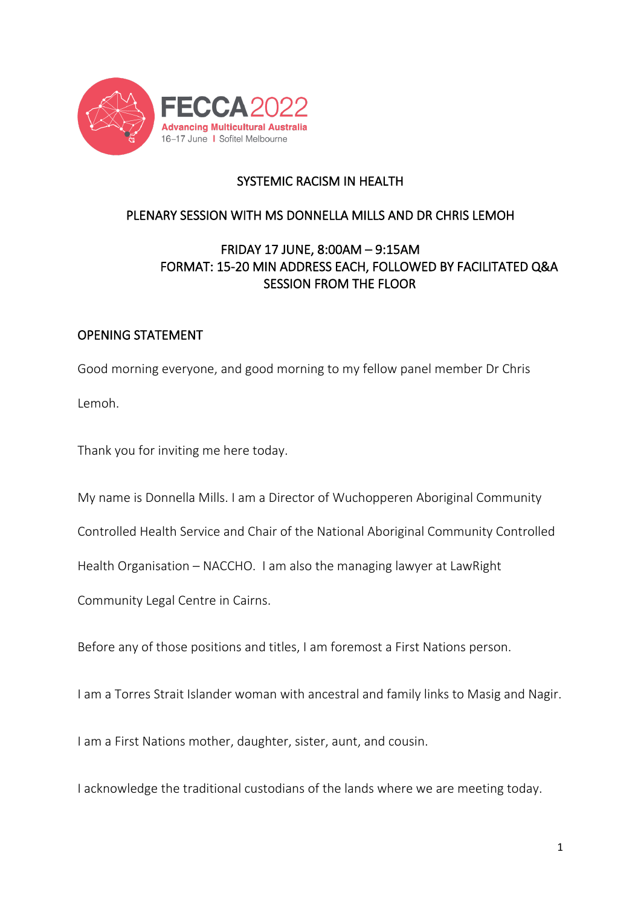

## SYSTEMIC RACISM IN HEALTH

## PLENARY SESSION WITH MS DONNELLA MILLS AND DR CHRIS LEMOH

## FRIDAY 17 JUNE, 8:00AM – 9:15AM FORMAT: 15-20 MIN ADDRESS EACH, FOLLOWED BY FACILITATED Q&A SESSION FROM THE FLOOR

## OPENING STATEMENT

Good morning everyone, and good morning to my fellow panel member Dr Chris Lemoh.

Thank you for inviting me here today.

My name is Donnella Mills. I am a Director of Wuchopperen Aboriginal Community

Controlled Health Service and Chair of the National Aboriginal Community Controlled

Health Organisation – NACCHO. I am also the managing lawyer at LawRight

Community Legal Centre in Cairns.

Before any of those positions and titles, I am foremost a First Nations person.

I am a Torres Strait Islander woman with ancestral and family links to Masig and Nagir.

I am a First Nations mother, daughter, sister, aunt, and cousin.

I acknowledge the traditional custodians of the lands where we are meeting today.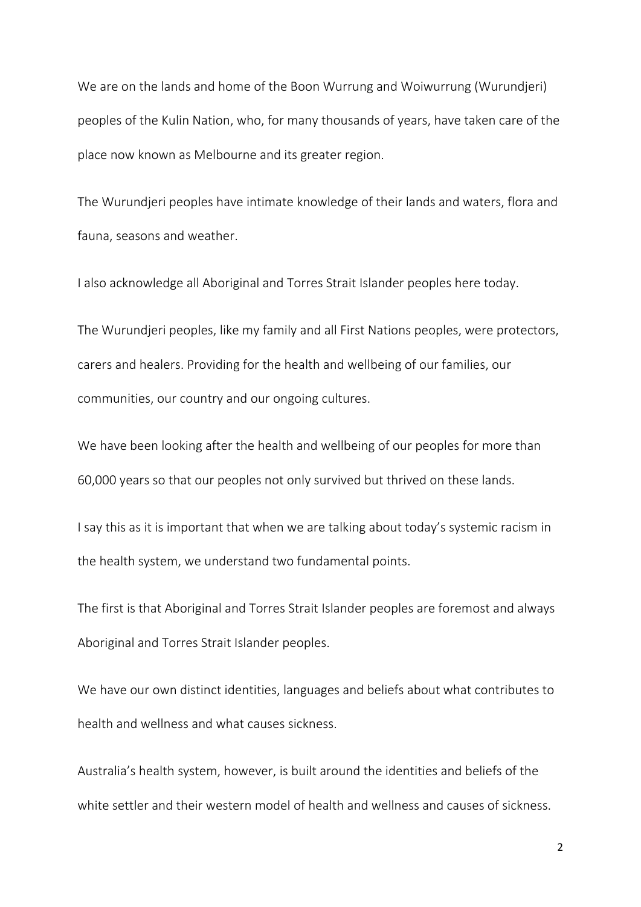We are on the lands and home of the Boon Wurrung and Woiwurrung (Wurundjeri) peoples of the Kulin Nation, who, for many thousands of years, have taken care of the place now known as Melbourne and its greater region.

The Wurundjeri peoples have intimate knowledge of their lands and waters, flora and fauna, seasons and weather.

I also acknowledge all Aboriginal and Torres Strait Islander peoples here today.

The Wurundjeri peoples, like my family and all First Nations peoples, were protectors, carers and healers. Providing for the health and wellbeing of our families, our communities, our country and our ongoing cultures.

We have been looking after the health and wellbeing of our peoples for more than 60,000 years so that our peoples not only survived but thrived on these lands.

I say this as it is important that when we are talking about today's systemic racism in the health system, we understand two fundamental points.

The first is that Aboriginal and Torres Strait Islander peoples are foremost and always Aboriginal and Torres Strait Islander peoples.

We have our own distinct identities, languages and beliefs about what contributes to health and wellness and what causes sickness.

Australia's health system, however, is built around the identities and beliefs of the white settler and their western model of health and wellness and causes of sickness.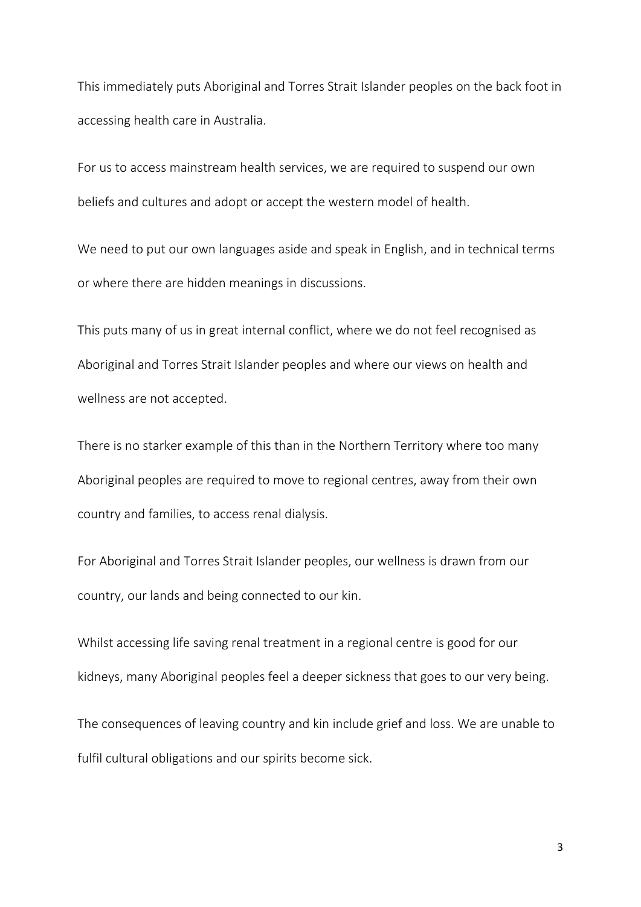This immediately puts Aboriginal and Torres Strait Islander peoples on the back foot in accessing health care in Australia.

For us to access mainstream health services, we are required to suspend our own beliefs and cultures and adopt or accept the western model of health.

We need to put our own languages aside and speak in English, and in technical terms or where there are hidden meanings in discussions.

This puts many of us in great internal conflict, where we do not feel recognised as Aboriginal and Torres Strait Islander peoples and where our views on health and wellness are not accepted.

There is no starker example of this than in the Northern Territory where too many Aboriginal peoples are required to move to regional centres, away from their own country and families, to access renal dialysis.

For Aboriginal and Torres Strait Islander peoples, our wellness is drawn from our country, our lands and being connected to our kin.

Whilst accessing life saving renal treatment in a regional centre is good for our kidneys, many Aboriginal peoples feel a deeper sickness that goes to our very being.

The consequences of leaving country and kin include grief and loss. We are unable to fulfil cultural obligations and our spirits become sick.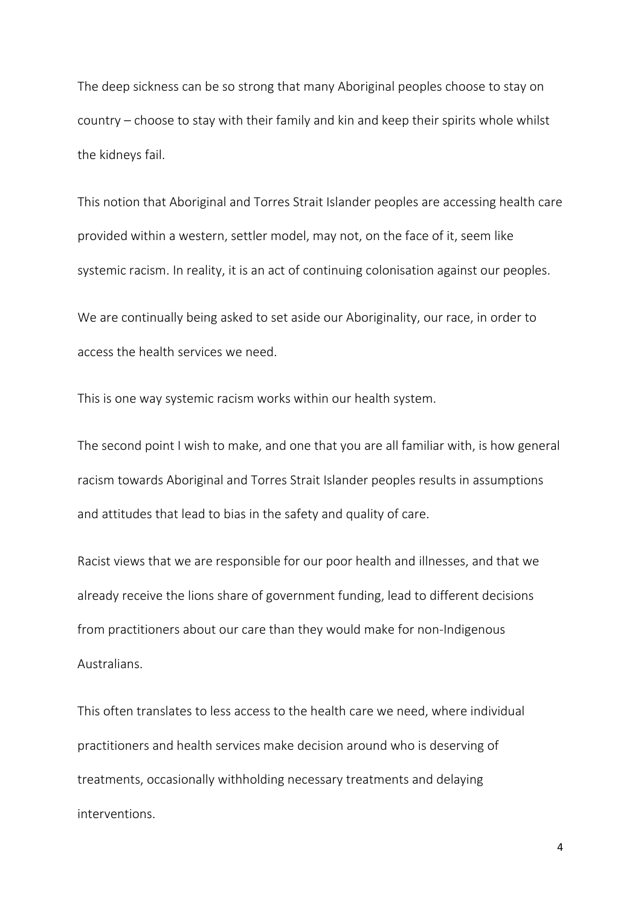The deep sickness can be so strong that many Aboriginal peoples choose to stay on country – choose to stay with their family and kin and keep their spirits whole whilst the kidneys fail.

This notion that Aboriginal and Torres Strait Islander peoples are accessing health care provided within a western, settler model, may not, on the face of it, seem like systemic racism. In reality, it is an act of continuing colonisation against our peoples.

We are continually being asked to set aside our Aboriginality, our race, in order to access the health services we need.

This is one way systemic racism works within our health system.

The second point I wish to make, and one that you are all familiar with, is how general racism towards Aboriginal and Torres Strait Islander peoples results in assumptions and attitudes that lead to bias in the safety and quality of care.

Racist views that we are responsible for our poor health and illnesses, and that we already receive the lions share of government funding, lead to different decisions from practitioners about our care than they would make for non-Indigenous Australians.

This often translates to less access to the health care we need, where individual practitioners and health services make decision around who is deserving of treatments, occasionally withholding necessary treatments and delaying interventions.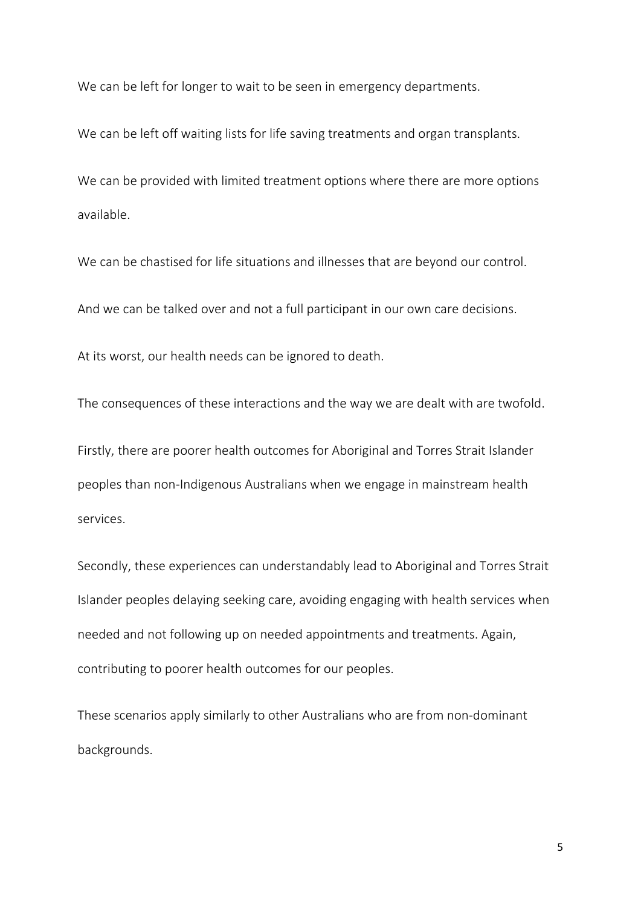We can be left for longer to wait to be seen in emergency departments.

We can be left off waiting lists for life saving treatments and organ transplants.

We can be provided with limited treatment options where there are more options available.

We can be chastised for life situations and illnesses that are beyond our control.

And we can be talked over and not a full participant in our own care decisions.

At its worst, our health needs can be ignored to death.

The consequences of these interactions and the way we are dealt with are twofold.

Firstly, there are poorer health outcomes for Aboriginal and Torres Strait Islander peoples than non-Indigenous Australians when we engage in mainstream health services.

Secondly, these experiences can understandably lead to Aboriginal and Torres Strait Islander peoples delaying seeking care, avoiding engaging with health services when needed and not following up on needed appointments and treatments. Again, contributing to poorer health outcomes for our peoples.

These scenarios apply similarly to other Australians who are from non-dominant backgrounds.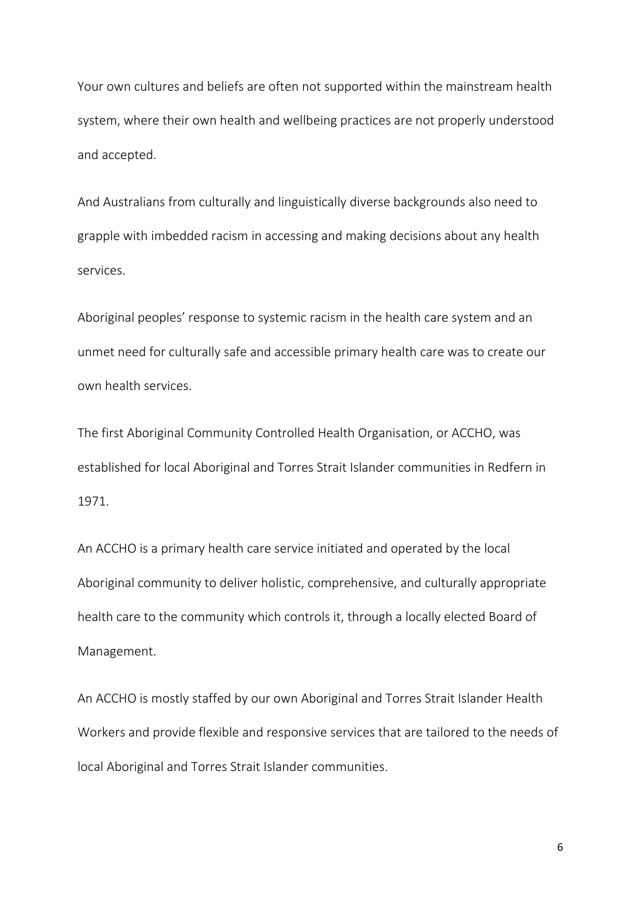Your own cultures and beliefs are often not supported within the mainstream health system, where their own health and wellbeing practices are not properly understood and accepted.

And Australians from culturally and linguistically diverse backgrounds also need to grapple with imbedded racism in accessing and making decisions about any health services.

Aboriginal peoples' response to systemic racism in the health care system and an unmet need for culturally safe and accessible primary health care was to create our own health services.

The first Aboriginal Community Controlled Health Organisation, or ACCHO, was established for local Aboriginal and Torres Strait Islander communities in Redfern in 1971.

An ACCHO is a primary health care service initiated and operated by the local Aboriginal community to deliver holistic, comprehensive, and culturally appropriate health care to the community which controls it, through a locally elected Board of Management.

An ACCHO is mostly staffed by our own Aboriginal and Torres Strait Islander Health Workers and provide flexible and responsive services that are tailored to the needs of local Aboriginal and Torres Strait Islander communities.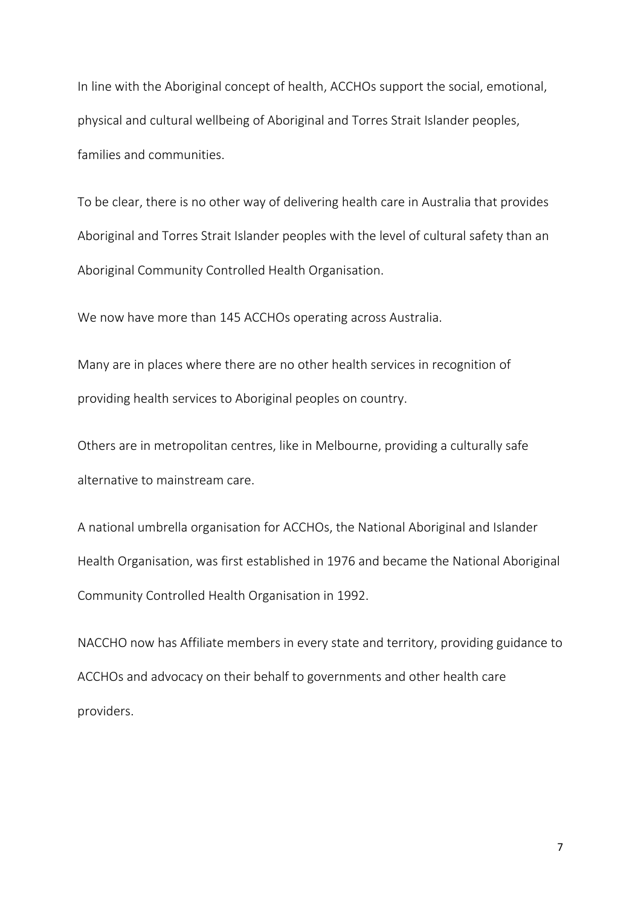In line with the Aboriginal concept of health, ACCHOs support the social, emotional, physical and cultural wellbeing of Aboriginal and Torres Strait Islander peoples, families and communities.

To be clear, there is no other way of delivering health care in Australia that provides Aboriginal and Torres Strait Islander peoples with the level of cultural safety than an Aboriginal Community Controlled Health Organisation.

We now have more than 145 ACCHOs operating across Australia.

Many are in places where there are no other health services in recognition of providing health services to Aboriginal peoples on country.

Others are in metropolitan centres, like in Melbourne, providing a culturally safe alternative to mainstream care.

A national umbrella organisation for ACCHOs, the National Aboriginal and Islander Health Organisation, was first established in 1976 and became the National Aboriginal Community Controlled Health Organisation in 1992.

NACCHO now has Affiliate members in every state and territory, providing guidance to ACCHOs and advocacy on their behalf to governments and other health care providers.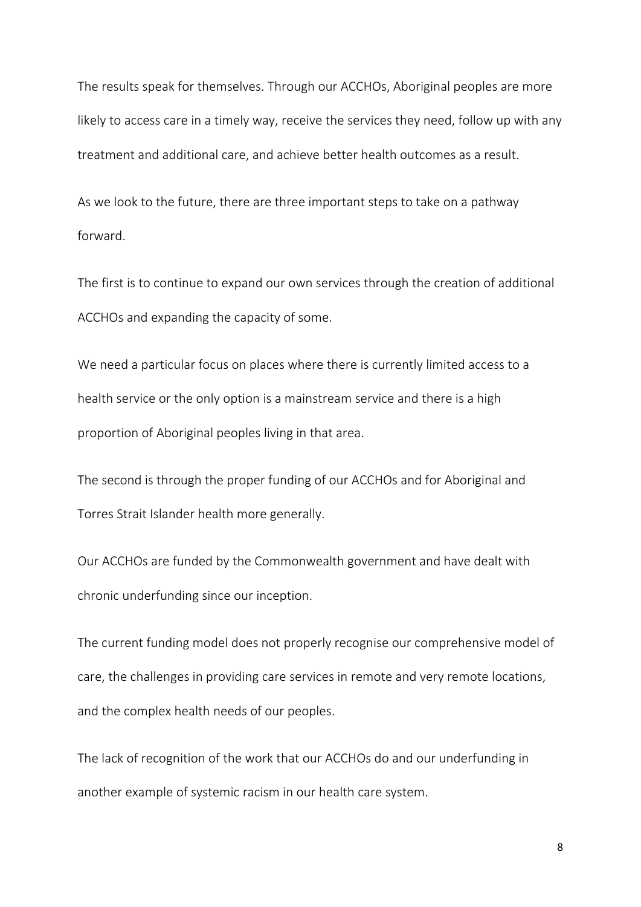The results speak for themselves. Through our ACCHOs, Aboriginal peoples are more likely to access care in a timely way, receive the services they need, follow up with any treatment and additional care, and achieve better health outcomes as a result.

As we look to the future, there are three important steps to take on a pathway forward.

The first is to continue to expand our own services through the creation of additional ACCHOs and expanding the capacity of some.

We need a particular focus on places where there is currently limited access to a health service or the only option is a mainstream service and there is a high proportion of Aboriginal peoples living in that area.

The second is through the proper funding of our ACCHOs and for Aboriginal and Torres Strait Islander health more generally.

Our ACCHOs are funded by the Commonwealth government and have dealt with chronic underfunding since our inception.

The current funding model does not properly recognise our comprehensive model of care, the challenges in providing care services in remote and very remote locations, and the complex health needs of our peoples.

The lack of recognition of the work that our ACCHOs do and our underfunding in another example of systemic racism in our health care system.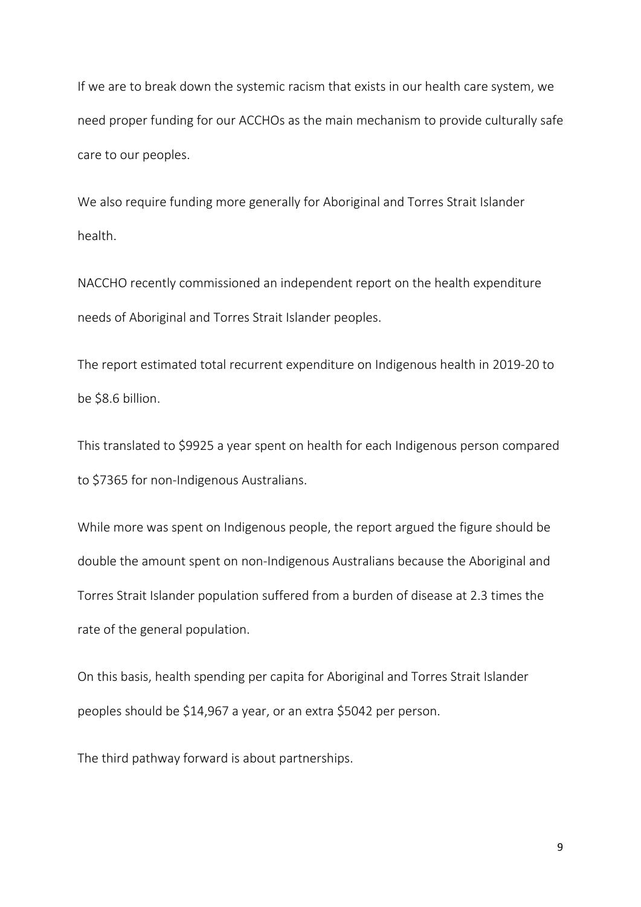If we are to break down the systemic racism that exists in our health care system, we need proper funding for our ACCHOs as the main mechanism to provide culturally safe care to our peoples.

We also require funding more generally for Aboriginal and Torres Strait Islander health.

NACCHO recently commissioned an independent report on the health expenditure needs of Aboriginal and Torres Strait Islander peoples.

The report estimated total recurrent expenditure on Indigenous health in 2019-20 to be \$8.6 billion.

This translated to \$9925 a year spent on health for each Indigenous person compared to \$7365 for non-Indigenous Australians.

While more was spent on Indigenous people, the report argued the figure should be double the amount spent on non-Indigenous Australians because the Aboriginal and Torres Strait Islander population suffered from a burden of disease at 2.3 times the rate of the general population.

On this basis, health spending per capita for Aboriginal and Torres Strait Islander peoples should be \$14,967 a year, or an extra \$5042 per person.

The third pathway forward is about partnerships.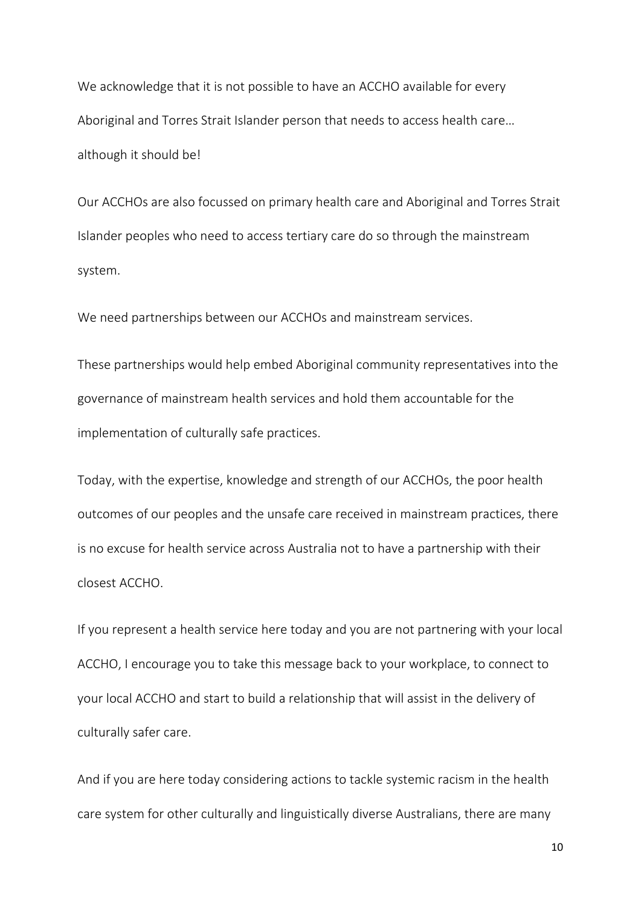We acknowledge that it is not possible to have an ACCHO available for every Aboriginal and Torres Strait Islander person that needs to access health care… although it should be!

Our ACCHOs are also focussed on primary health care and Aboriginal and Torres Strait Islander peoples who need to access tertiary care do so through the mainstream system.

We need partnerships between our ACCHOs and mainstream services.

These partnerships would help embed Aboriginal community representatives into the governance of mainstream health services and hold them accountable for the implementation of culturally safe practices.

Today, with the expertise, knowledge and strength of our ACCHOs, the poor health outcomes of our peoples and the unsafe care received in mainstream practices, there is no excuse for health service across Australia not to have a partnership with their closest ACCHO.

If you represent a health service here today and you are not partnering with your local ACCHO, I encourage you to take this message back to your workplace, to connect to your local ACCHO and start to build a relationship that will assist in the delivery of culturally safer care.

And if you are here today considering actions to tackle systemic racism in the health care system for other culturally and linguistically diverse Australians, there are many